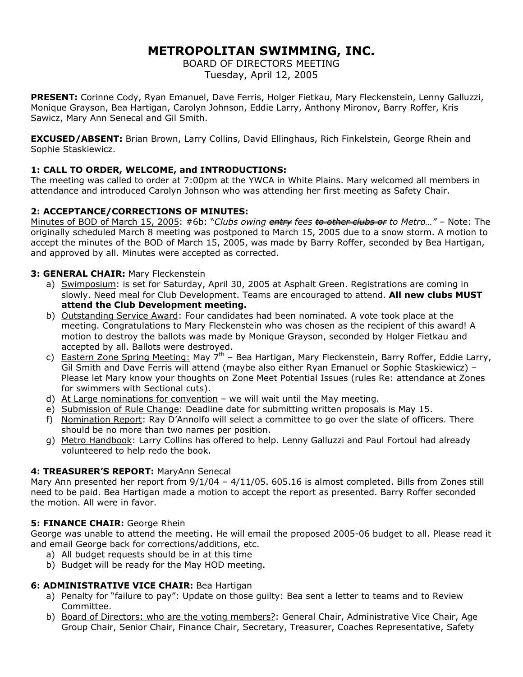# **METROPOLITAN SWIMMING, INC.**

BOARD OF DIRECTORS MEETING Tuesday, April 12, 2005

**PRESENT:** Corinne Cody, Ryan Emanuel, Dave Ferris, Holger Fietkau, Mary Fleckenstein, Lenny Galluzzi, Monique Grayson, Bea Hartigan, Carolyn Johnson, Eddie Larry, Anthony Mironov, Barry Roffer, Kris Sawicz, Mary Ann Senecal and Gil Smith.

**EXCUSED/ABSENT:** Brian Brown, Larry Collins, David Ellinghaus, Rich Finkelstein, George Rhein and Sophie Staskiewicz.

## **1: CALL TO ORDER, WELCOME, and INTRODUCTIONS:**

The meeting was called to order at 7:00pm at the YWCA in White Plains. Mary welcomed all members in attendance and introduced Carolyn Johnson who was attending her first meeting as Safety Chair.

## **2: ACCEPTANCE/CORRECTIONS OF MINUTES:**

Minutes of BOD of March 15, 2005: #6b: "*Clubs owing entry fees to other clubs or to Metro…" –* Note: The originally scheduled March 8 meeting was postponed to March 15, 2005 due to a snow storm. A motion to accept the minutes of the BOD of March 15, 2005, was made by Barry Roffer, seconded by Bea Hartigan, and approved by all. Minutes were accepted as corrected.

## **3: GENERAL CHAIR:** Mary Fleckenstein

- a) Swimposium: is set for Saturday, April 30, 2005 at Asphalt Green. Registrations are coming in slowly. Need meal for Club Development. Teams are encouraged to attend. **All new clubs MUST attend the Club Development meeting.**
- b) Outstanding Service Award: Four candidates had been nominated. A vote took place at the meeting. Congratulations to Mary Fleckenstein who was chosen as the recipient of this award! A motion to destroy the ballots was made by Monique Grayson, seconded by Holger Fietkau and accepted by all. Ballots were destroyed.
- c) Eastern Zone Spring Meeting: May  $7<sup>th</sup>$  Bea Hartigan, Mary Fleckenstein, Barry Roffer, Eddie Larry, Gil Smith and Dave Ferris will attend (maybe also either Ryan Emanuel or Sophie Staskiewicz) – Please let Mary know your thoughts on Zone Meet Potential Issues (rules Re: attendance at Zones for swimmers with Sectional cuts).
- d) At Large nominations for convention we will wait until the May meeting.
- e) Submission of Rule Change: Deadline date for submitting written proposals is May 15.
- f) Nomination Report: Ray D'Annolfo will select a committee to go over the slate of officers. There should be no more than two names per position.
- g) Metro Handbook: Larry Collins has offered to help. Lenny Galluzzi and Paul Fortoul had already volunteered to help redo the book.

## **4: TREASURER'S REPORT:** MaryAnn Senecal

Mary Ann presented her report from 9/1/04 – 4/11/05. 605.16 is almost completed. Bills from Zones still need to be paid. Bea Hartigan made a motion to accept the report as presented. Barry Roffer seconded the motion. All were in favor.

## **5: FINANCE CHAIR: George Rhein**

George was unable to attend the meeting. He will email the proposed 2005-06 budget to all. Please read it and email George back for corrections/additions, etc.

- a) All budget requests should be in at this time
- b) Budget will be ready for the May HOD meeting.

## **6: ADMINISTRATIVE VICE CHAIR:** Bea Hartigan

- a) Penalty for "failure to pay": Update on those guilty: Bea sent a letter to teams and to Review Committee.
- b) Board of Directors: who are the voting members?: General Chair, Administrative Vice Chair, Age Group Chair, Senior Chair, Finance Chair, Secretary, Treasurer, Coaches Representative, Safety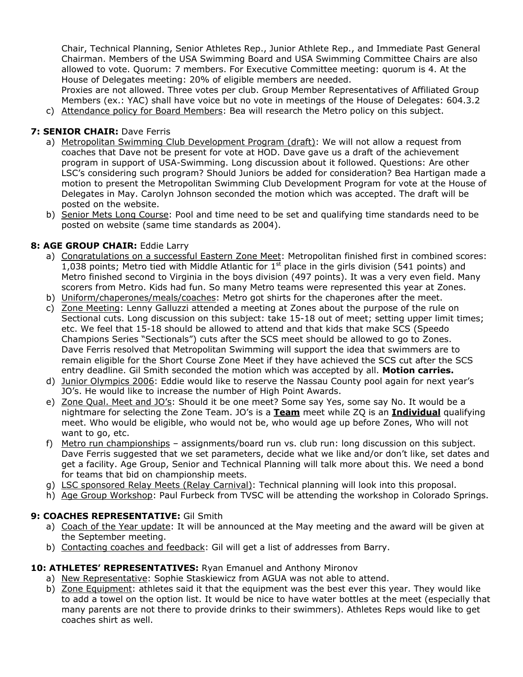Chair, Technical Planning, Senior Athletes Rep., Junior Athlete Rep., and Immediate Past General Chairman. Members of the USA Swimming Board and USA Swimming Committee Chairs are also allowed to vote. Quorum: 7 members. For Executive Committee meeting: quorum is 4. At the House of Delegates meeting: 20% of eligible members are needed.

Proxies are not allowed. Three votes per club. Group Member Representatives of Affiliated Group Members (ex.: YAC) shall have voice but no vote in meetings of the House of Delegates: 604.3.2

c) Attendance policy for Board Members: Bea will research the Metro policy on this subject.

## **7: SENIOR CHAIR: Dave Ferris**

- a) Metropolitan Swimming Club Development Program (draft): We will not allow a request from coaches that Dave not be present for vote at HOD. Dave gave us a draft of the achievement program in support of USA-Swimming. Long discussion about it followed. Questions: Are other LSC's considering such program? Should Juniors be added for consideration? Bea Hartigan made a motion to present the Metropolitan Swimming Club Development Program for vote at the House of Delegates in May. Carolyn Johnson seconded the motion which was accepted. The draft will be posted on the website.
- b) Senior Mets Long Course: Pool and time need to be set and qualifying time standards need to be posted on website (same time standards as 2004).

## **8: AGE GROUP CHAIR:** Eddie Larry

- a) Congratulations on a successful Eastern Zone Meet: Metropolitan finished first in combined scores: 1,038 points; Metro tied with Middle Atlantic for  $1<sup>st</sup>$  place in the girls division (541 points) and Metro finished second to Virginia in the boys division (497 points). It was a very even field. Many scorers from Metro. Kids had fun. So many Metro teams were represented this year at Zones.
- b) Uniform/chaperones/meals/coaches: Metro got shirts for the chaperones after the meet.
- c) Zone Meeting: Lenny Galluzzi attended a meeting at Zones about the purpose of the rule on Sectional cuts. Long discussion on this subject: take 15-18 out of meet; setting upper limit times; etc. We feel that 15-18 should be allowed to attend and that kids that make SCS (Speedo Champions Series "Sectionals") cuts after the SCS meet should be allowed to go to Zones. Dave Ferris resolved that Metropolitan Swimming will support the idea that swimmers are to remain eligible for the Short Course Zone Meet if they have achieved the SCS cut after the SCS entry deadline. Gil Smith seconded the motion which was accepted by all. **Motion carries.**
- d) Junior Olympics 2006: Eddie would like to reserve the Nassau County pool again for next year's JO's. He would like to increase the number of High Point Awards.
- e) Zone Qual. Meet and JO's: Should it be one meet? Some say Yes, some say No. It would be a nightmare for selecting the Zone Team. JO's is a **Team** meet while ZQ is an **Individual** qualifying meet. Who would be eligible, who would not be, who would age up before Zones, Who will not want to go, etc.
- f) Metro run championships assignments/board run vs. club run: long discussion on this subject. Dave Ferris suggested that we set parameters, decide what we like and/or don't like, set dates and get a facility. Age Group, Senior and Technical Planning will talk more about this. We need a bond for teams that bid on championship meets.
- g) LSC sponsored Relay Meets (Relay Carnival): Technical planning will look into this proposal.
- h) Age Group Workshop: Paul Furbeck from TVSC will be attending the workshop in Colorado Springs.

## **9: COACHES REPRESENTATIVE:** Gil Smith

- a) Coach of the Year update: It will be announced at the May meeting and the award will be given at the September meeting.
- b) Contacting coaches and feedback: Gil will get a list of addresses from Barry.

## **10: ATHLETES' REPRESENTATIVES:** Ryan Emanuel and Anthony Mironov

- a) New Representative: Sophie Staskiewicz from AGUA was not able to attend.
- b) Zone Equipment: athletes said it that the equipment was the best ever this year. They would like to add a towel on the option list. It would be nice to have water bottles at the meet (especially that many parents are not there to provide drinks to their swimmers). Athletes Reps would like to get coaches shirt as well.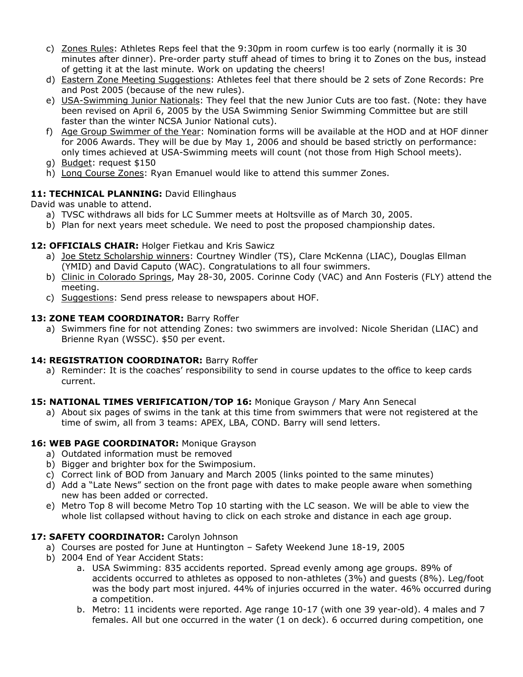- c) Zones Rules: Athletes Reps feel that the 9:30pm in room curfew is too early (normally it is 30 minutes after dinner). Pre-order party stuff ahead of times to bring it to Zones on the bus, instead of getting it at the last minute. Work on updating the cheers!
- d) Eastern Zone Meeting Suggestions: Athletes feel that there should be 2 sets of Zone Records: Pre and Post 2005 (because of the new rules).
- e) USA-Swimming Junior Nationals: They feel that the new Junior Cuts are too fast. (Note: they have been revised on April 6, 2005 by the USA Swimming Senior Swimming Committee but are still faster than the winter NCSA Junior National cuts).
- f) Age Group Swimmer of the Year: Nomination forms will be available at the HOD and at HOF dinner for 2006 Awards. They will be due by May 1, 2006 and should be based strictly on performance: only times achieved at USA-Swimming meets will count (not those from High School meets).
- g) Budget: request \$150
- h) Long Course Zones: Ryan Emanuel would like to attend this summer Zones.

## 11: TECHNICAL PLANNING: David Ellinghaus

David was unable to attend.

- a) TVSC withdraws all bids for LC Summer meets at Holtsville as of March 30, 2005.
- b) Plan for next years meet schedule. We need to post the proposed championship dates.

## **12: OFFICIALS CHAIR:** Holger Fietkau and Kris Sawicz

- a) Joe Stetz Scholarship winners: Courtney Windler (TS), Clare McKenna (LIAC), Douglas Ellman (YMID) and David Caputo (WAC). Congratulations to all four swimmers.
- b) Clinic in Colorado Springs, May 28-30, 2005. Corinne Cody (VAC) and Ann Fosteris (FLY) attend the meeting.
- c) Suggestions: Send press release to newspapers about HOF.

#### 13: ZONE TEAM COORDINATOR: Barry Roffer

a) Swimmers fine for not attending Zones: two swimmers are involved: Nicole Sheridan (LIAC) and Brienne Ryan (WSSC). \$50 per event.

## **14: REGISTRATION COORDINATOR:** Barry Roffer

a) Reminder: It is the coaches' responsibility to send in course updates to the office to keep cards current.

#### **15: NATIONAL TIMES VERIFICATION/TOP 16:** Monique Grayson / Mary Ann Senecal

a) About six pages of swims in the tank at this time from swimmers that were not registered at the time of swim, all from 3 teams: APEX, LBA, COND. Barry will send letters.

#### 16: WEB PAGE COORDINATOR: Monique Grayson

- a) Outdated information must be removed
- b) Bigger and brighter box for the Swimposium.
- c) Correct link of BOD from January and March 2005 (links pointed to the same minutes)
- d) Add a "Late News" section on the front page with dates to make people aware when something new has been added or corrected.
- e) Metro Top 8 will become Metro Top 10 starting with the LC season. We will be able to view the whole list collapsed without having to click on each stroke and distance in each age group.

## 17: SAFETY COORDINATOR: Carolyn Johnson

- a) Courses are posted for June at Huntington Safety Weekend June 18-19, 2005
- b) 2004 End of Year Accident Stats:
	- a. USA Swimming: 835 accidents reported. Spread evenly among age groups. 89% of accidents occurred to athletes as opposed to non-athletes (3%) and guests (8%). Leg/foot was the body part most injured. 44% of injuries occurred in the water. 46% occurred during a competition.
	- b. Metro: 11 incidents were reported. Age range 10-17 (with one 39 year-old). 4 males and 7 females. All but one occurred in the water (1 on deck). 6 occurred during competition, one